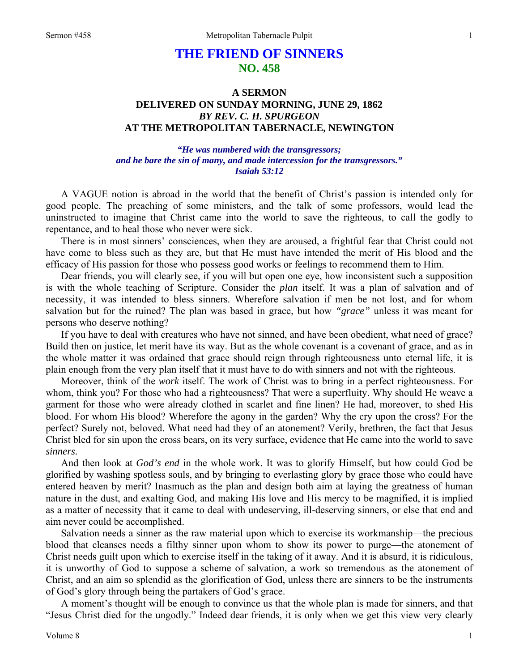## **THE FRIEND OF SINNERS NO. 458**

## **A SERMON DELIVERED ON SUNDAY MORNING, JUNE 29, 1862**  *BY REV. C. H. SPURGEON*  **AT THE METROPOLITAN TABERNACLE, NEWINGTON**

*"He was numbered with the transgressors; and he bare the sin of many, and made intercession for the transgressors." Isaiah 53:12* 

A VAGUE notion is abroad in the world that the benefit of Christ's passion is intended only for good people. The preaching of some ministers, and the talk of some professors, would lead the uninstructed to imagine that Christ came into the world to save the righteous, to call the godly to repentance, and to heal those who never were sick.

There is in most sinners' consciences, when they are aroused, a frightful fear that Christ could not have come to bless such as they are, but that He must have intended the merit of His blood and the efficacy of His passion for those who possess good works or feelings to recommend them to Him.

Dear friends, you will clearly see, if you will but open one eye, how inconsistent such a supposition is with the whole teaching of Scripture. Consider the *plan* itself. It was a plan of salvation and of necessity, it was intended to bless sinners. Wherefore salvation if men be not lost, and for whom salvation but for the ruined? The plan was based in grace, but how *"grace"* unless it was meant for persons who deserve nothing?

If you have to deal with creatures who have not sinned, and have been obedient, what need of grace? Build then on justice, let merit have its way. But as the whole covenant is a covenant of grace, and as in the whole matter it was ordained that grace should reign through righteousness unto eternal life, it is plain enough from the very plan itself that it must have to do with sinners and not with the righteous.

Moreover, think of the *work* itself. The work of Christ was to bring in a perfect righteousness. For whom, think you? For those who had a righteousness? That were a superfluity. Why should He weave a garment for those who were already clothed in scarlet and fine linen? He had, moreover, to shed His blood. For whom His blood? Wherefore the agony in the garden? Why the cry upon the cross? For the perfect? Surely not, beloved. What need had they of an atonement? Verily, brethren, the fact that Jesus Christ bled for sin upon the cross bears, on its very surface, evidence that He came into the world to save *sinners.*

And then look at *God's end* in the whole work. It was to glorify Himself, but how could God be glorified by washing spotless souls, and by bringing to everlasting glory by grace those who could have entered heaven by merit? Inasmuch as the plan and design both aim at laying the greatness of human nature in the dust, and exalting God, and making His love and His mercy to be magnified, it is implied as a matter of necessity that it came to deal with undeserving, ill-deserving sinners, or else that end and aim never could be accomplished.

Salvation needs a sinner as the raw material upon which to exercise its workmanship—the precious blood that cleanses needs a filthy sinner upon whom to show its power to purge—the atonement of Christ needs guilt upon which to exercise itself in the taking of it away. And it is absurd, it is ridiculous, it is unworthy of God to suppose a scheme of salvation, a work so tremendous as the atonement of Christ, and an aim so splendid as the glorification of God, unless there are sinners to be the instruments of God's glory through being the partakers of God's grace.

A moment's thought will be enough to convince us that the whole plan is made for sinners, and that "Jesus Christ died for the ungodly." Indeed dear friends, it is only when we get this view very clearly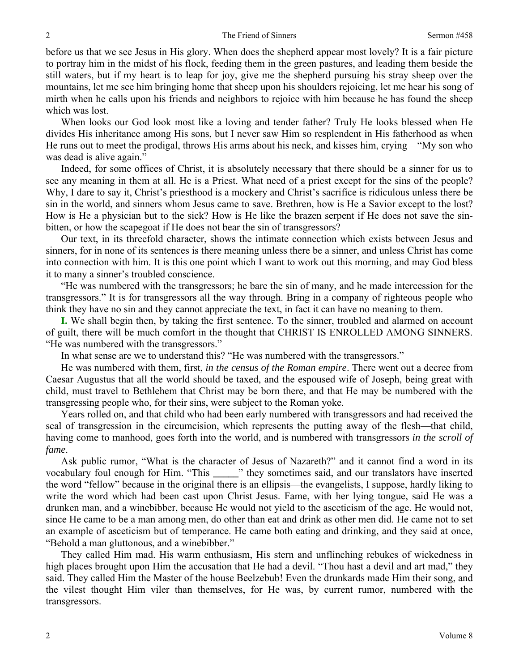before us that we see Jesus in His glory. When does the shepherd appear most lovely? It is a fair picture to portray him in the midst of his flock, feeding them in the green pastures, and leading them beside the still waters, but if my heart is to leap for joy, give me the shepherd pursuing his stray sheep over the mountains, let me see him bringing home that sheep upon his shoulders rejoicing, let me hear his song of mirth when he calls upon his friends and neighbors to rejoice with him because he has found the sheep which was lost.

When looks our God look most like a loving and tender father? Truly He looks blessed when He divides His inheritance among His sons, but I never saw Him so resplendent in His fatherhood as when He runs out to meet the prodigal, throws His arms about his neck, and kisses him, crying—"My son who was dead is alive again."

Indeed, for some offices of Christ, it is absolutely necessary that there should be a sinner for us to see any meaning in them at all. He is a Priest. What need of a priest except for the sins of the people? Why, I dare to say it, Christ's priesthood is a mockery and Christ's sacrifice is ridiculous unless there be sin in the world, and sinners whom Jesus came to save. Brethren, how is He a Savior except to the lost? How is He a physician but to the sick? How is He like the brazen serpent if He does not save the sinbitten, or how the scapegoat if He does not bear the sin of transgressors?

Our text, in its threefold character, shows the intimate connection which exists between Jesus and sinners, for in none of its sentences is there meaning unless there be a sinner, and unless Christ has come into connection with him. It is this one point which I want to work out this morning, and may God bless it to many a sinner's troubled conscience.

"He was numbered with the transgressors; he bare the sin of many, and he made intercession for the transgressors." It is for transgressors all the way through. Bring in a company of righteous people who think they have no sin and they cannot appreciate the text, in fact it can have no meaning to them.

**I.** We shall begin then, by taking the first sentence. To the sinner, troubled and alarmed on account of guilt, there will be much comfort in the thought that CHRIST IS ENROLLED AMONG SINNERS. "He was numbered with the transgressors."

In what sense are we to understand this? "He was numbered with the transgressors."

He was numbered with them, first, *in the census of the Roman empire*. There went out a decree from Caesar Augustus that all the world should be taxed, and the espoused wife of Joseph, being great with child, must travel to Bethlehem that Christ may be born there, and that He may be numbered with the transgressing people who, for their sins, were subject to the Roman yoke.

Years rolled on, and that child who had been early numbered with transgressors and had received the seal of transgression in the circumcision, which represents the putting away of the flesh—that child, having come to manhood, goes forth into the world, and is numbered with transgressors *in the scroll of fame*.

Ask public rumor, "What is the character of Jesus of Nazareth?" and it cannot find a word in its vocabulary foul enough for Him. "This **\_\_\_\_\_**" they sometimes said, and our translators have inserted the word "fellow" because in the original there is an ellipsis—the evangelists, I suppose, hardly liking to write the word which had been cast upon Christ Jesus. Fame, with her lying tongue, said He was a drunken man, and a winebibber, because He would not yield to the asceticism of the age. He would not, since He came to be a man among men, do other than eat and drink as other men did. He came not to set an example of asceticism but of temperance. He came both eating and drinking, and they said at once, "Behold a man gluttonous, and a winebibber."

They called Him mad. His warm enthusiasm, His stern and unflinching rebukes of wickedness in high places brought upon Him the accusation that He had a devil. "Thou hast a devil and art mad," they said. They called Him the Master of the house Beelzebub! Even the drunkards made Him their song, and the vilest thought Him viler than themselves, for He was, by current rumor, numbered with the transgressors.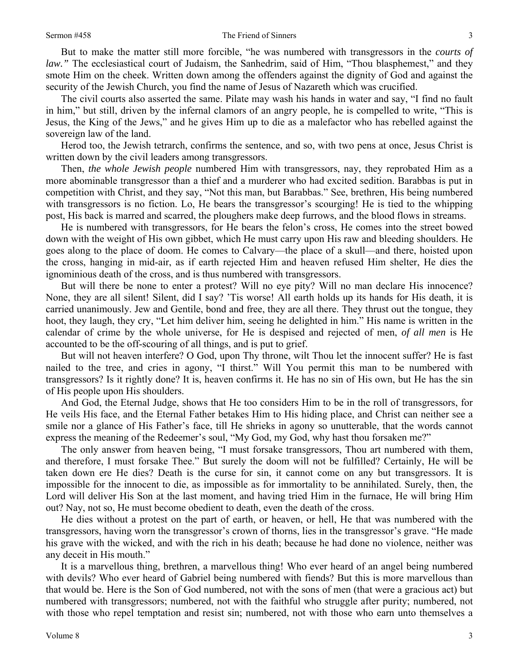But to make the matter still more forcible, "he was numbered with transgressors in the *courts of law.*" The ecclesiastical court of Judaism, the Sanhedrim, said of Him, "Thou blasphemest," and they smote Him on the cheek. Written down among the offenders against the dignity of God and against the security of the Jewish Church, you find the name of Jesus of Nazareth which was crucified.

The civil courts also asserted the same. Pilate may wash his hands in water and say, "I find no fault in him," but still, driven by the infernal clamors of an angry people, he is compelled to write, "This is Jesus, the King of the Jews," and he gives Him up to die as a malefactor who has rebelled against the sovereign law of the land.

Herod too, the Jewish tetrarch, confirms the sentence, and so, with two pens at once, Jesus Christ is written down by the civil leaders among transgressors.

Then, *the whole Jewish people* numbered Him with transgressors, nay, they reprobated Him as a more abominable transgressor than a thief and a murderer who had excited sedition. Barabbas is put in competition with Christ, and they say, "Not this man, but Barabbas." See, brethren, His being numbered with transgressors is no fiction. Lo, He bears the transgressor's scourging! He is tied to the whipping post, His back is marred and scarred, the ploughers make deep furrows, and the blood flows in streams.

He is numbered with transgressors, for He bears the felon's cross, He comes into the street bowed down with the weight of His own gibbet, which He must carry upon His raw and bleeding shoulders. He goes along to the place of doom. He comes to Calvary—the place of a skull—and there, hoisted upon the cross, hanging in mid-air, as if earth rejected Him and heaven refused Him shelter, He dies the ignominious death of the cross, and is thus numbered with transgressors.

But will there be none to enter a protest? Will no eye pity? Will no man declare His innocence? None, they are all silent! Silent, did I say? 'Tis worse! All earth holds up its hands for His death, it is carried unanimously. Jew and Gentile, bond and free, they are all there. They thrust out the tongue, they hoot, they laugh, they cry, "Let him deliver him, seeing he delighted in him." His name is written in the calendar of crime by the whole universe, for He is despised and rejected of men, *of all men* is He accounted to be the off-scouring of all things, and is put to grief.

But will not heaven interfere? O God, upon Thy throne, wilt Thou let the innocent suffer? He is fast nailed to the tree, and cries in agony, "I thirst." Will You permit this man to be numbered with transgressors? Is it rightly done? It is, heaven confirms it. He has no sin of His own, but He has the sin of His people upon His shoulders.

And God, the Eternal Judge, shows that He too considers Him to be in the roll of transgressors, for He veils His face, and the Eternal Father betakes Him to His hiding place, and Christ can neither see a smile nor a glance of His Father's face, till He shrieks in agony so unutterable, that the words cannot express the meaning of the Redeemer's soul, "My God, my God, why hast thou forsaken me?"

The only answer from heaven being, "I must forsake transgressors, Thou art numbered with them, and therefore, I must forsake Thee." But surely the doom will not be fulfilled? Certainly, He will be taken down ere He dies? Death is the curse for sin, it cannot come on any but transgressors. It is impossible for the innocent to die, as impossible as for immortality to be annihilated. Surely, then, the Lord will deliver His Son at the last moment, and having tried Him in the furnace, He will bring Him out? Nay, not so, He must become obedient to death, even the death of the cross.

He dies without a protest on the part of earth, or heaven, or hell, He that was numbered with the transgressors, having worn the transgressor's crown of thorns, lies in the transgressor's grave. "He made his grave with the wicked, and with the rich in his death; because he had done no violence, neither was any deceit in His mouth."

It is a marvellous thing, brethren, a marvellous thing! Who ever heard of an angel being numbered with devils? Who ever heard of Gabriel being numbered with fiends? But this is more marvellous than that would be. Here is the Son of God numbered, not with the sons of men (that were a gracious act) but numbered with transgressors; numbered, not with the faithful who struggle after purity; numbered, not with those who repel temptation and resist sin; numbered, not with those who earn unto themselves a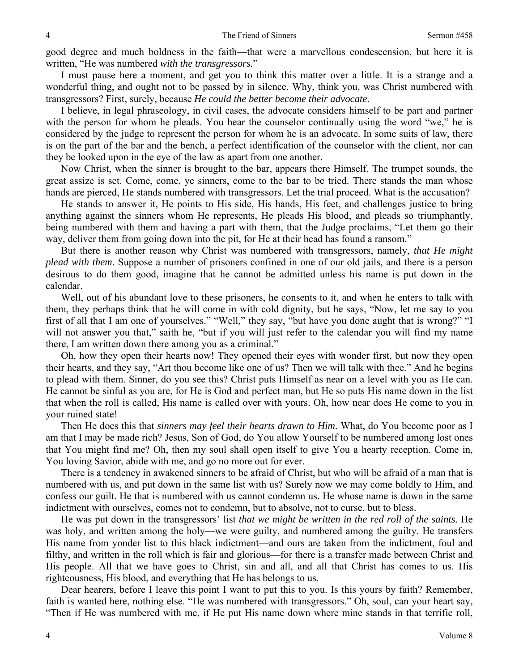good degree and much boldness in the faith—that were a marvellous condescension, but here it is written, "He was numbered *with the transgressors.*"

I must pause here a moment, and get you to think this matter over a little. It is a strange and a wonderful thing, and ought not to be passed by in silence. Why, think you, was Christ numbered with transgressors? First, surely, because *He could the better become their advocate*.

I believe, in legal phraseology, in civil cases, the advocate considers himself to be part and partner with the person for whom he pleads. You hear the counselor continually using the word "we," he is considered by the judge to represent the person for whom he is an advocate. In some suits of law, there is on the part of the bar and the bench, a perfect identification of the counselor with the client, nor can they be looked upon in the eye of the law as apart from one another.

Now Christ, when the sinner is brought to the bar, appears there Himself. The trumpet sounds, the great assize is set. Come, come, ye sinners, come to the bar to be tried. There stands the man whose hands are pierced, He stands numbered with transgressors. Let the trial proceed. What is the accusation?

He stands to answer it, He points to His side, His hands, His feet, and challenges justice to bring anything against the sinners whom He represents, He pleads His blood, and pleads so triumphantly, being numbered with them and having a part with them, that the Judge proclaims, "Let them go their way, deliver them from going down into the pit, for He at their head has found a ransom."

But there is another reason why Christ was numbered with transgressors, namely, *that He might plead with them*. Suppose a number of prisoners confined in one of our old jails, and there is a person desirous to do them good, imagine that he cannot be admitted unless his name is put down in the calendar.

Well, out of his abundant love to these prisoners, he consents to it, and when he enters to talk with them, they perhaps think that he will come in with cold dignity, but he says, "Now, let me say to you first of all that I am one of yourselves." "Well," they say, "but have you done aught that is wrong?" "I will not answer you that," saith he, "but if you will just refer to the calendar you will find my name there, I am written down there among you as a criminal."

Oh, how they open their hearts now! They opened their eyes with wonder first, but now they open their hearts, and they say, "Art thou become like one of us? Then we will talk with thee." And he begins to plead with them. Sinner, do you see this? Christ puts Himself as near on a level with you as He can. He cannot be sinful as you are, for He is God and perfect man, but He so puts His name down in the list that when the roll is called, His name is called over with yours. Oh, how near does He come to you in your ruined state!

Then He does this that *sinners may feel their hearts drawn to Him*. What, do You become poor as I am that I may be made rich? Jesus, Son of God, do You allow Yourself to be numbered among lost ones that You might find me? Oh, then my soul shall open itself to give You a hearty reception. Come in, You loving Savior, abide with me, and go no more out for ever.

There is a tendency in awakened sinners to be afraid of Christ, but who will be afraid of a man that is numbered with us, and put down in the same list with us? Surely now we may come boldly to Him, and confess our guilt. He that is numbered with us cannot condemn us. He whose name is down in the same indictment with ourselves, comes not to condemn, but to absolve, not to curse, but to bless.

He was put down in the transgressors' list *that we might be written in the red roll of the saints*. He was holy, and written among the holy—we were guilty, and numbered among the guilty. He transfers His name from yonder list to this black indictment—and ours are taken from the indictment, foul and filthy, and written in the roll which is fair and glorious—for there is a transfer made between Christ and His people. All that we have goes to Christ, sin and all, and all that Christ has comes to us. His righteousness, His blood, and everything that He has belongs to us.

Dear hearers, before I leave this point I want to put this to you. Is this yours by faith? Remember, faith is wanted here, nothing else. "He was numbered with transgressors." Oh, soul, can your heart say, "Then if He was numbered with me, if He put His name down where mine stands in that terrific roll,

4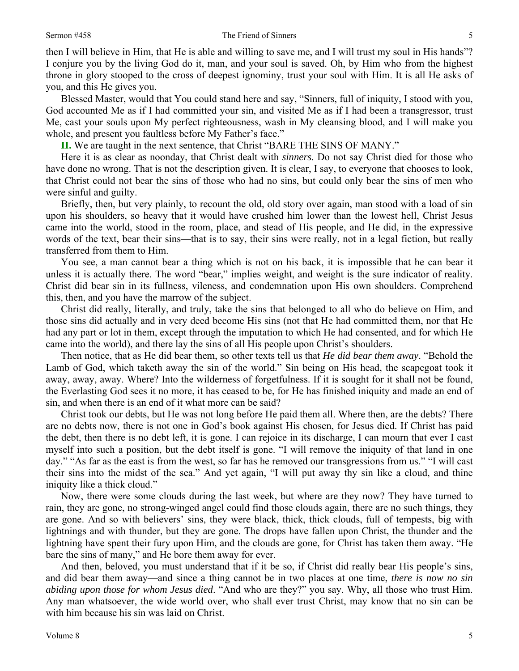then I will believe in Him, that He is able and willing to save me, and I will trust my soul in His hands"? I conjure you by the living God do it, man, and your soul is saved. Oh, by Him who from the highest throne in glory stooped to the cross of deepest ignominy, trust your soul with Him. It is all He asks of you, and this He gives you.

Blessed Master, would that You could stand here and say, "Sinners, full of iniquity, I stood with you, God accounted Me as if I had committed your sin, and visited Me as if I had been a transgressor, trust Me, cast your souls upon My perfect righteousness, wash in My cleansing blood, and I will make you whole, and present you faultless before My Father's face."

**II.** We are taught in the next sentence, that Christ "BARE THE SINS OF MANY."

Here it is as clear as noonday, that Christ dealt with *sinners*. Do not say Christ died for those who have done no wrong. That is not the description given. It is clear, I say, to everyone that chooses to look, that Christ could not bear the sins of those who had no sins, but could only bear the sins of men who were sinful and guilty.

Briefly, then, but very plainly, to recount the old, old story over again, man stood with a load of sin upon his shoulders, so heavy that it would have crushed him lower than the lowest hell, Christ Jesus came into the world, stood in the room, place, and stead of His people, and He did, in the expressive words of the text, bear their sins—that is to say, their sins were really, not in a legal fiction, but really transferred from them to Him.

You see, a man cannot bear a thing which is not on his back, it is impossible that he can bear it unless it is actually there. The word "bear," implies weight, and weight is the sure indicator of reality. Christ did bear sin in its fullness, vileness, and condemnation upon His own shoulders. Comprehend this, then, and you have the marrow of the subject.

Christ did really, literally, and truly, take the sins that belonged to all who do believe on Him, and those sins did actually and in very deed become His sins (not that He had committed them, nor that He had any part or lot in them, except through the imputation to which He had consented, and for which He came into the world), and there lay the sins of all His people upon Christ's shoulders.

Then notice, that as He did bear them, so other texts tell us that *He did bear them away*. "Behold the Lamb of God, which taketh away the sin of the world." Sin being on His head, the scapegoat took it away, away, away. Where? Into the wilderness of forgetfulness. If it is sought for it shall not be found, the Everlasting God sees it no more, it has ceased to be, for He has finished iniquity and made an end of sin, and when there is an end of it what more can be said?

Christ took our debts, but He was not long before He paid them all. Where then, are the debts? There are no debts now, there is not one in God's book against His chosen, for Jesus died. If Christ has paid the debt, then there is no debt left, it is gone. I can rejoice in its discharge, I can mourn that ever I cast myself into such a position, but the debt itself is gone. "I will remove the iniquity of that land in one day." "As far as the east is from the west, so far has he removed our transgressions from us." "I will cast their sins into the midst of the sea." And yet again, "I will put away thy sin like a cloud, and thine iniquity like a thick cloud."

Now, there were some clouds during the last week, but where are they now? They have turned to rain, they are gone, no strong-winged angel could find those clouds again, there are no such things, they are gone. And so with believers' sins, they were black, thick, thick clouds, full of tempests, big with lightnings and with thunder, but they are gone. The drops have fallen upon Christ, the thunder and the lightning have spent their fury upon Him, and the clouds are gone, for Christ has taken them away. "He bare the sins of many," and He bore them away for ever.

And then, beloved, you must understand that if it be so, if Christ did really bear His people's sins, and did bear them away—and since a thing cannot be in two places at one time, *there is now no sin abiding upon those for whom Jesus died*. "And who are they?" you say. Why, all those who trust Him. Any man whatsoever, the wide world over, who shall ever trust Christ, may know that no sin can be with him because his sin was laid on Christ.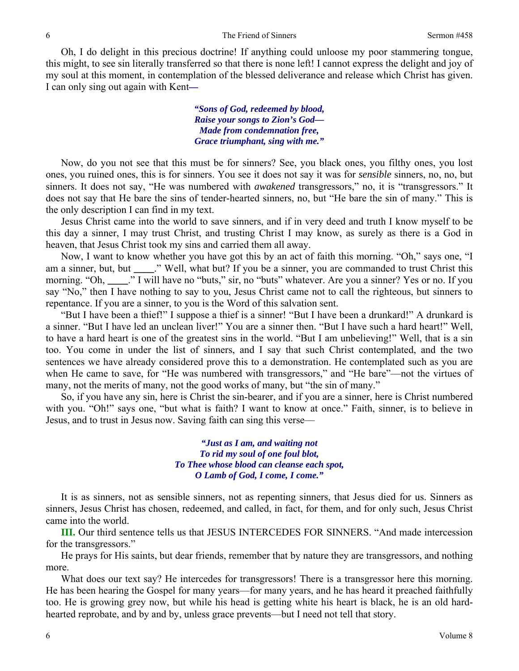Oh, I do delight in this precious doctrine! If anything could unloose my poor stammering tongue, this might, to see sin literally transferred so that there is none left! I cannot express the delight and joy of my soul at this moment, in contemplation of the blessed deliverance and release which Christ has given. I can only sing out again with Kent*—* 

> *"Sons of God, redeemed by blood, Raise your songs to Zion's God— Made from condemnation free, Grace triumphant, sing with me."*

Now, do you not see that this must be for sinners? See, you black ones, you filthy ones, you lost ones, you ruined ones, this is for sinners. You see it does not say it was for *sensible* sinners, no, no, but sinners. It does not say, "He was numbered with *awakened* transgressors," no, it is "transgressors." It does not say that He bare the sins of tender-hearted sinners, no, but "He bare the sin of many." This is the only description I can find in my text.

Jesus Christ came into the world to save sinners, and if in very deed and truth I know myself to be this day a sinner, I may trust Christ, and trusting Christ I may know, as surely as there is a God in heaven, that Jesus Christ took my sins and carried them all away.

Now, I want to know whether you have got this by an act of faith this morning. "Oh," says one, "I am a sinner, but, but **\_\_\_\_**." Well, what but? If you be a sinner, you are commanded to trust Christ this morning. "Oh, **..."** I will have no "buts," sir, no "buts" whatever. Are you a sinner? Yes or no. If you say "No," then I have nothing to say to you, Jesus Christ came not to call the righteous, but sinners to repentance. If you are a sinner, to you is the Word of this salvation sent.

"But I have been a thief!" I suppose a thief is a sinner! "But I have been a drunkard!" A drunkard is a sinner. "But I have led an unclean liver!" You are a sinner then. "But I have such a hard heart!" Well, to have a hard heart is one of the greatest sins in the world. "But I am unbelieving!" Well, that is a sin too. You come in under the list of sinners, and I say that such Christ contemplated, and the two sentences we have already considered prove this to a demonstration. He contemplated such as you are when He came to save, for "He was numbered with transgressors," and "He bare"—not the virtues of many, not the merits of many, not the good works of many, but "the sin of many."

So, if you have any sin, here is Christ the sin-bearer, and if you are a sinner, here is Christ numbered with you. "Oh!" says one, "but what is faith? I want to know at once." Faith, sinner, is to believe in Jesus, and to trust in Jesus now. Saving faith can sing this verse—

> *"Just as I am, and waiting not To rid my soul of one foul blot, To Thee whose blood can cleanse each spot, O Lamb of God, I come, I come."*

It is as sinners, not as sensible sinners, not as repenting sinners, that Jesus died for us. Sinners as sinners, Jesus Christ has chosen, redeemed, and called, in fact, for them, and for only such, Jesus Christ came into the world.

**III.** Our third sentence tells us that JESUS INTERCEDES FOR SINNERS. "And made intercession for the transgressors."

He prays for His saints, but dear friends, remember that by nature they are transgressors, and nothing more.

What does our text say? He intercedes for transgressors! There is a transgressor here this morning. He has been hearing the Gospel for many years—for many years, and he has heard it preached faithfully too. He is growing grey now, but while his head is getting white his heart is black, he is an old hardhearted reprobate, and by and by, unless grace prevents—but I need not tell that story.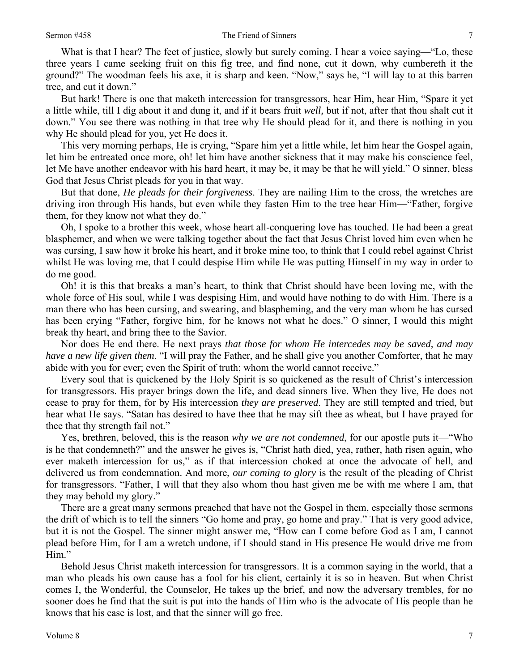What is that I hear? The feet of justice, slowly but surely coming. I hear a voice saying—"Lo, these three years I came seeking fruit on this fig tree, and find none, cut it down, why cumbereth it the ground?" The woodman feels his axe, it is sharp and keen. "Now," says he, "I will lay to at this barren tree, and cut it down."

But hark! There is one that maketh intercession for transgressors, hear Him, hear Him, "Spare it yet a little while, till I dig about it and dung it, and if it bears fruit *well,* but if not, after that thou shalt cut it down." You see there was nothing in that tree why He should plead for it, and there is nothing in you why He should plead for you, yet He does it.

This very morning perhaps, He is crying, "Spare him yet a little while, let him hear the Gospel again, let him be entreated once more, oh! let him have another sickness that it may make his conscience feel, let Me have another endeavor with his hard heart, it may be, it may be that he will yield." O sinner, bless God that Jesus Christ pleads for you in that way.

But that done, *He pleads for their forgiveness*. They are nailing Him to the cross, the wretches are driving iron through His hands, but even while they fasten Him to the tree hear Him—"Father, forgive them, for they know not what they do."

Oh, I spoke to a brother this week, whose heart all-conquering love has touched. He had been a great blasphemer, and when we were talking together about the fact that Jesus Christ loved him even when he was cursing, I saw how it broke his heart, and it broke mine too, to think that I could rebel against Christ whilst He was loving me, that I could despise Him while He was putting Himself in my way in order to do me good.

Oh! it is this that breaks a man's heart, to think that Christ should have been loving me, with the whole force of His soul, while I was despising Him, and would have nothing to do with Him. There is a man there who has been cursing, and swearing, and blaspheming, and the very man whom he has cursed has been crying "Father, forgive him, for he knows not what he does." O sinner, I would this might break thy heart, and bring thee to the Savior.

Nor does He end there. He next prays *that those for whom He intercedes may be saved, and may have a new life given them*. "I will pray the Father, and he shall give you another Comforter, that he may abide with you for ever; even the Spirit of truth; whom the world cannot receive."

Every soul that is quickened by the Holy Spirit is so quickened as the result of Christ's intercession for transgressors. His prayer brings down the life, and dead sinners live. When they live, He does not cease to pray for them, for by His intercession *they are preserved*. They are still tempted and tried, but hear what He says. "Satan has desired to have thee that he may sift thee as wheat, but I have prayed for thee that thy strength fail not."

Yes, brethren, beloved, this is the reason *why we are not condemned*, for our apostle puts it—"Who is he that condemneth?" and the answer he gives is, "Christ hath died, yea, rather, hath risen again, who ever maketh intercession for us," as if that intercession choked at once the advocate of hell, and delivered us from condemnation. And more, *our coming to glory* is the result of the pleading of Christ for transgressors. "Father, I will that they also whom thou hast given me be with me where I am, that they may behold my glory."

There are a great many sermons preached that have not the Gospel in them, especially those sermons the drift of which is to tell the sinners "Go home and pray, go home and pray." That is very good advice, but it is not the Gospel. The sinner might answer me, "How can I come before God as I am, I cannot plead before Him, for I am a wretch undone, if I should stand in His presence He would drive me from Him."

Behold Jesus Christ maketh intercession for transgressors. It is a common saying in the world, that a man who pleads his own cause has a fool for his client, certainly it is so in heaven. But when Christ comes I, the Wonderful, the Counselor, He takes up the brief, and now the adversary trembles, for no sooner does he find that the suit is put into the hands of Him who is the advocate of His people than he knows that his case is lost, and that the sinner will go free.

7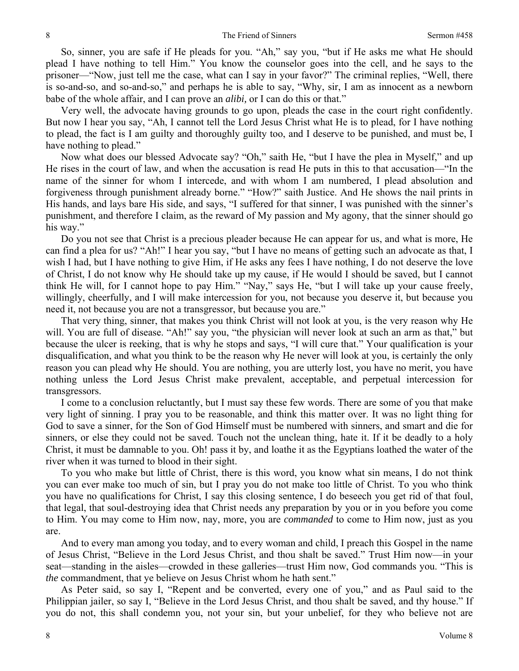So, sinner, you are safe if He pleads for you. "Ah," say you, "but if He asks me what He should plead I have nothing to tell Him." You know the counselor goes into the cell, and he says to the prisoner—"Now, just tell me the case, what can I say in your favor?" The criminal replies, "Well, there is so-and-so, and so-and-so," and perhaps he is able to say, "Why, sir, I am as innocent as a newborn babe of the whole affair, and I can prove an *alibi,* or I can do this or that."

Very well, the advocate having grounds to go upon, pleads the case in the court right confidently. But now I hear you say, "Ah, I cannot tell the Lord Jesus Christ what He is to plead, for I have nothing to plead, the fact is I am guilty and thoroughly guilty too, and I deserve to be punished, and must be, I have nothing to plead."

Now what does our blessed Advocate say? "Oh," saith He, "but I have the plea in Myself," and up He rises in the court of law, and when the accusation is read He puts in this to that accusation—"In the name of the sinner for whom I intercede, and with whom I am numbered, I plead absolution and forgiveness through punishment already borne." "How?" saith Justice. And He shows the nail prints in His hands, and lays bare His side, and says, "I suffered for that sinner, I was punished with the sinner's punishment, and therefore I claim, as the reward of My passion and My agony, that the sinner should go his way."

Do you not see that Christ is a precious pleader because He can appear for us, and what is more, He can find a plea for us? "Ah!" I hear you say, "but I have no means of getting such an advocate as that, I wish I had, but I have nothing to give Him, if He asks any fees I have nothing, I do not deserve the love of Christ, I do not know why He should take up my cause, if He would I should be saved, but I cannot think He will, for I cannot hope to pay Him." "Nay," says He, "but I will take up your cause freely, willingly, cheerfully, and I will make intercession for you, not because you deserve it, but because you need it, not because you are not a transgressor, but because you are."

That very thing, sinner, that makes you think Christ will not look at you, is the very reason why He will. You are full of disease. "Ah!" say you, "the physician will never look at such an arm as that," but because the ulcer is reeking, that is why he stops and says, "I will cure that." Your qualification is your disqualification, and what you think to be the reason why He never will look at you, is certainly the only reason you can plead why He should. You are nothing, you are utterly lost, you have no merit, you have nothing unless the Lord Jesus Christ make prevalent, acceptable, and perpetual intercession for transgressors.

I come to a conclusion reluctantly, but I must say these few words. There are some of you that make very light of sinning. I pray you to be reasonable, and think this matter over. It was no light thing for God to save a sinner, for the Son of God Himself must be numbered with sinners, and smart and die for sinners, or else they could not be saved. Touch not the unclean thing, hate it. If it be deadly to a holy Christ, it must be damnable to you. Oh! pass it by, and loathe it as the Egyptians loathed the water of the river when it was turned to blood in their sight.

To you who make but little of Christ, there is this word, you know what sin means, I do not think you can ever make too much of sin, but I pray you do not make too little of Christ. To you who think you have no qualifications for Christ, I say this closing sentence, I do beseech you get rid of that foul, that legal, that soul-destroying idea that Christ needs any preparation by you or in you before you come to Him. You may come to Him now, nay, more, you are *commanded* to come to Him now, just as you are.

And to every man among you today, and to every woman and child, I preach this Gospel in the name of Jesus Christ, "Believe in the Lord Jesus Christ, and thou shalt be saved." Trust Him now—in your seat—standing in the aisles—crowded in these galleries—trust Him now, God commands you. "This is *the* commandment, that ye believe on Jesus Christ whom he hath sent."

As Peter said, so say I, "Repent and be converted, every one of you," and as Paul said to the Philippian jailer, so say I, "Believe in the Lord Jesus Christ, and thou shalt be saved, and thy house." If you do not, this shall condemn you, not your sin, but your unbelief, for they who believe not are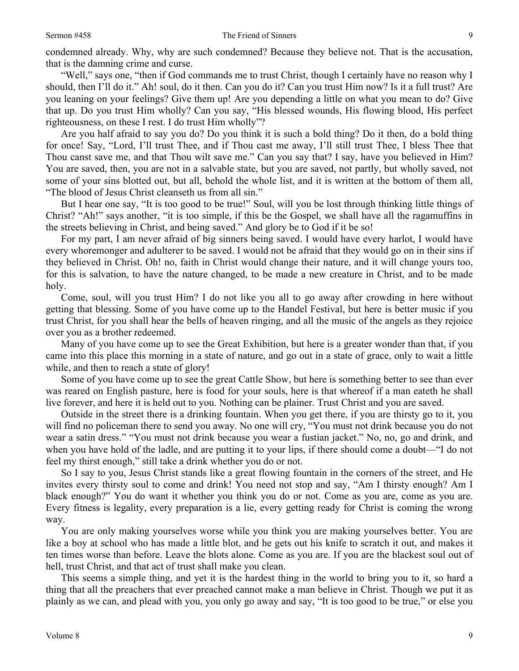condemned already. Why, why are such condemned? Because they believe not. That is the accusation, that is the damning crime and curse.

"Well," says one, "then if God commands me to trust Christ, though I certainly have no reason why I should, then I'll do it." Ah! soul, do it then. Can you do it? Can you trust Him now? Is it a full trust? Are you leaning on your feelings? Give them up! Are you depending a little on what you mean to do? Give that up. Do you trust Him wholly? Can you say, "His blessed wounds, His flowing blood, His perfect righteousness, on these I rest. I do trust Him wholly"?

Are you half afraid to say you do? Do you think it is such a bold thing? Do it then, do a bold thing for once! Say, "Lord, I'll trust Thee, and if Thou cast me away, I'll still trust Thee, I bless Thee that Thou canst save me, and that Thou wilt save me." Can you say that? I say, have you believed in Him? You are saved, then, you are not in a salvable state, but you are saved, not partly, but wholly saved, not some of your sins blotted out, but all, behold the whole list, and it is written at the bottom of them all, "The blood of Jesus Christ cleanseth us from all sin."

But I hear one say, "It is too good to be true!" Soul, will you be lost through thinking little things of Christ? "Ah!" says another, "it is too simple, if this be the Gospel, we shall have all the ragamuffins in the streets believing in Christ, and being saved." And glory be to God if it be so!

For my part, I am never afraid of big sinners being saved. I would have every harlot, I would have every whoremonger and adulterer to be saved. I would not be afraid that they would go on in their sins if they believed in Christ. Oh! no, faith in Christ would change their nature, and it will change yours too, for this is salvation, to have the nature changed, to be made a new creature in Christ, and to be made holy.

Come, soul, will you trust Him? I do not like you all to go away after crowding in here without getting that blessing. Some of you have come up to the Handel Festival, but here is better music if you trust Christ, for you shall hear the bells of heaven ringing, and all the music of the angels as they rejoice over you as a brother redeemed.

Many of you have come up to see the Great Exhibition, but here is a greater wonder than that, if you came into this place this morning in a state of nature, and go out in a state of grace, only to wait a little while, and then to reach a state of glory!

Some of you have come up to see the great Cattle Show, but here is something better to see than ever was reared on English pasture, here is food for your souls, here is that whereof if a man eateth he shall live forever, and here it is held out to you. Nothing can be plainer. Trust Christ and you are saved.

Outside in the street there is a drinking fountain. When you get there, if you are thirsty go to it, you will find no policeman there to send you away. No one will cry, "You must not drink because you do not wear a satin dress." "You must not drink because you wear a fustian jacket." No, no, go and drink, and when you have hold of the ladle, and are putting it to your lips, if there should come a doubt—"I do not feel my thirst enough," still take a drink whether you do or not.

So I say to you, Jesus Christ stands like a great flowing fountain in the corners of the street, and He invites every thirsty soul to come and drink! You need not stop and say, "Am I thirsty enough? Am I black enough?" You do want it whether you think you do or not. Come as you are, come as you are. Every fitness is legality, every preparation is a lie, every getting ready for Christ is coming the wrong way.

You are only making yourselves worse while you think you are making yourselves better. You are like a boy at school who has made a little blot, and he gets out his knife to scratch it out, and makes it ten times worse than before. Leave the blots alone. Come as you are. If you are the blackest soul out of hell, trust Christ, and that act of trust shall make you clean.

This seems a simple thing, and yet it is the hardest thing in the world to bring you to it, so hard a thing that all the preachers that ever preached cannot make a man believe in Christ. Though we put it as plainly as we can, and plead with you, you only go away and say, "It is too good to be true," or else you